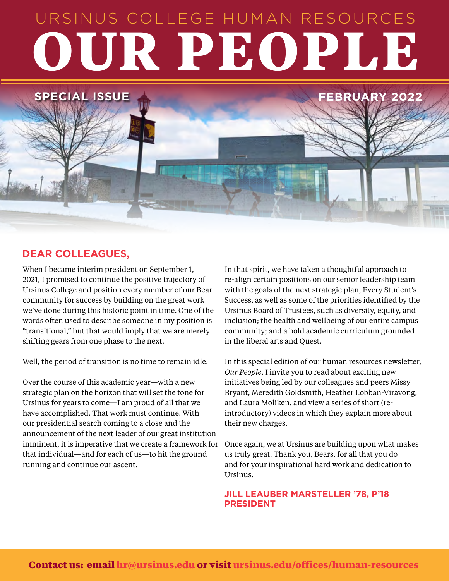# URSINUS COLLEGE HUMAN RESOURCES **OUR PEOPLE**

### **DEAR COLLEAGUES,**

**SPECIAL ISSUE** 

When I became interim president on September 1, 2021, I promised to continue the positive trajectory of Ursinus College and position every member of our Bear community for success by building on the great work we've done during this historic point in time. One of the words often used to describe someone in my position is "transitional," but that would imply that we are merely shifting gears from one phase to the next.

Well, the period of transition is no time to remain idle.

Over the course of this academic year—with a new strategic plan on the horizon that will set the tone for Ursinus for years to come—I am proud of all that we have accomplished. That work must continue. With our presidential search coming to a close and the announcement of the next leader of our great institution imminent, it is imperative that we create a framework for that individual—and for each of us—to hit the ground running and continue our ascent.

In that spirit, we have taken a thoughtful approach to re-align certain positions on our senior leadership team with the goals of the next strategic plan, Every Student's Success, as well as some of the priorities identified by the Ursinus Board of Trustees, such as diversity, equity, and inclusion; the health and wellbeing of our entire campus community; and a bold academic curriculum grounded in the liberal arts and Quest.

In this special edition of our human resources newsletter, *Our People*, I invite you to read about exciting new initiatives being led by our colleagues and peers Missy Bryant, Meredith Goldsmith, Heather Lobban-Viravong, and Laura Moliken, and view a series of short (reintroductory) videos in which they explain more about their new charges.

Once again, we at Ursinus are building upon what makes us truly great. Thank you, Bears, for all that you do and for your inspirational hard work and dedication to Ursinus.

#### **JILL LEAUBER MARSTELLER '78, P'18 PRESIDENT**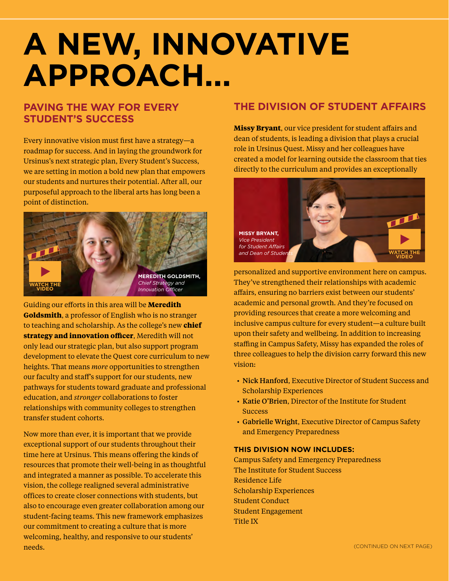# **A NEW, INNOVATIVE APPROACH...**

### **PAVING THE WAY FOR EVERY STUDENT'S SUCCESS**

Every innovative vision must first have a strategy—a roadmap for success. And in laying the groundwork for Ursinus's next strategic plan, Every Student's Success, we are setting in motion a bold new plan that empowers our students and nurtures their potential. After all, our purposeful approach to the liberal arts has long been a point of distinction.



Guiding our efforts in this area will be **Meredith Goldsmith**, a professor of English who is no stranger to teaching and scholarship. As the college's new **chief strategy and innovation officer**, Meredith will not only lead our strategic plan, but also support program development to elevate the Quest core curriculum to new heights. That means *more* opportunities to strengthen our faculty and staff's support for our students, new pathways for students toward graduate and professional education, and *stronger* collaborations to foster relationships with community colleges to strengthen transfer student cohorts.

Now more than ever, it is important that we provide exceptional support of our students throughout their time here at Ursinus. This means offering the kinds of resources that promote their well-being in as thoughtful and integrated a manner as possible. To accelerate this vision, the college realigned several administrative offices to create closer connections with students, but also to encourage even greater collaboration among our student-facing teams. This new framework emphasizes our commitment to creating a culture that is more welcoming, healthy, and responsive to our students' needs.

### **THE DIVISION OF STUDENT AFFAIRS**

**Missy Bryant**, our vice president for student affairs and dean of students, is leading a division that plays a crucial role in Ursinus Quest. Missy and her colleagues have created a model for learning outside the classroom that ties directly to the curriculum and provides an exceptionally



personalized and supportive environment here on campus. They've strengthened their relationships with academic affairs, ensuring no barriers exist between our students' academic and personal growth. And they're focused on providing resources that create a more welcoming and inclusive campus culture for every student—a culture built upon their safety and wellbeing. In addition to increasing staffing in Campus Safety, Missy has expanded the roles of three colleagues to help the division carry forward this new vision:

- Nick Hanford, Executive Director of Student Success and Scholarship Experiences
- Katie O'Brien, Director of the Institute for Student **Success**
- Gabrielle Wright, Executive Director of Campus Safety and Emergency Preparedness

#### **THIS DIVISION NOW INCLUDES:**

Campus Safety and Emergency Preparedness The Institute for Student Success Residence Life Scholarship Experiences Student Conduct Student Engagement Title IX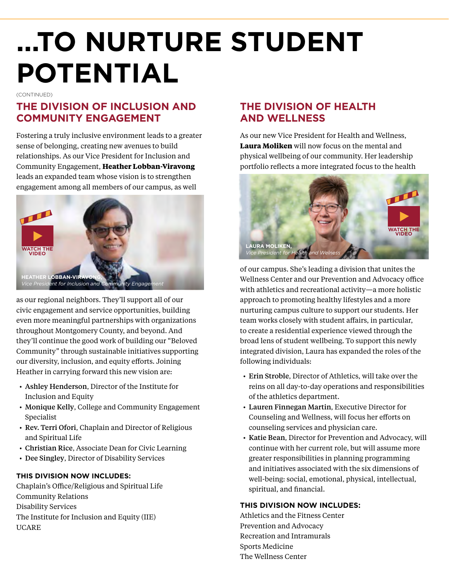# **...TO NURTURE STUDENT POTENTIAL**

(CONTINUED)

# **THE DIVISION OF INCLUSION AND COMMUNITY ENGAGEMENT**

Fostering a truly inclusive environment leads to a greater sense of belonging, creating new avenues to build relationships. As our Vice President for Inclusion and Community Engagement, **Heather Lobban-Viravong** leads an expanded team whose vision is to strengthen engagement among all members of our campus, as well



as our regional neighbors. They'll support all of our civic engagement and service opportunities, building even more meaningful partnerships with organizations throughout Montgomery County, and beyond. And they'll continue the good work of building our "Beloved Community" through sustainable initiatives supporting our diversity, inclusion, and equity efforts. Joining Heather in carrying forward this new vision are:

- Ashley Henderson, Director of the Institute for Inclusion and Equity
- Monique Kelly, College and Community Engagement Specialist
- Rev. Terri Ofori, Chaplain and Director of Religious and Spiritual Life
- Christian Rice, Associate Dean for Civic Learning
- Dee Singley, Director of Disability Services

### **THIS DIVISION NOW INCLUDES:**

Chaplain's Office/Religious and Spiritual Life Community Relations Disability Services The Institute for Inclusion and Equity (IIE) UCARE

## **THE DIVISION OF HEALTH AND WELLNESS**

As our new Vice President for Health and Wellness, **Laura Moliken** will now focus on the mental and physical wellbeing of our community. Her leadership portfolio reflects a more integrated focus to the health



of our campus. She's leading a division that unites the Wellness Center and our Prevention and Advocacy office with athletics and recreational activity—a more holistic approach to promoting healthy lifestyles and a more nurturing campus culture to support our students. Her team works closely with student affairs, in particular, to create a residential experience viewed through the broad lens of student wellbeing. To support this newly integrated division, Laura has expanded the roles of the following individuals:

- Erin Stroble, Director of Athletics, will take over the reins on all day-to-day operations and responsibilities of the athletics department.
- Lauren Finnegan Martin, Executive Director for Counseling and Wellness, will focus her efforts on counseling services and physician care.
- Katie Bean, Director for Prevention and Advocacy, will continue with her current role, but will assume more greater responsibilities in planning programming and initiatives associated with the six dimensions of well-being: social, emotional, physical, intellectual, spiritual, and financial.

### **THIS DIVISION NOW INCLUDES:**

Athletics and the Fitness Center Prevention and Advocacy Recreation and Intramurals Sports Medicine The Wellness Center